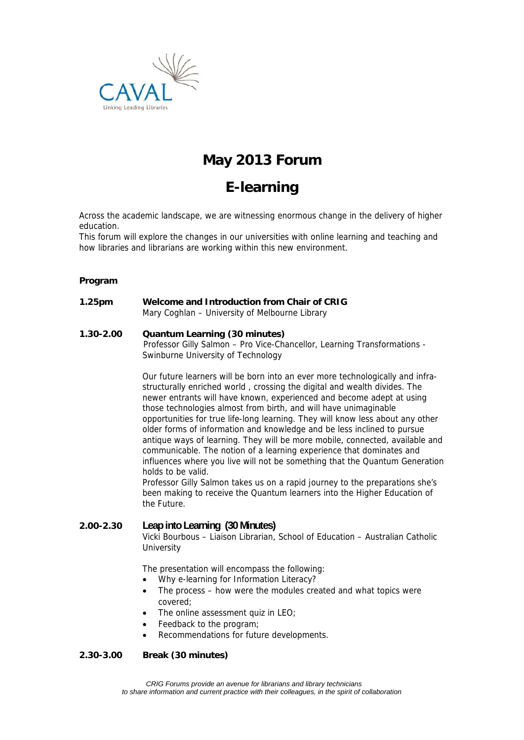

## **May 2013 Forum**

# **E-learning**

Across the academic landscape, we are witnessing enormous change in the delivery of higher education.

This forum will explore the changes in our universities with online learning and teaching and how libraries and librarians are working within this new environment.

#### **Program**

**1.25pm Welcome and Introduction from Chair of CRIG** Mary Coghlan – University of Melbourne Library

#### **1.30-2.00 Quantum Learning (30 minutes)**

 Professor Gilly Salmon – Pro Vice-Chancellor, Learning Transformations - Swinburne University of Technology

Our future learners will be born into an ever more technologically and infrastructurally enriched world , crossing the digital and wealth divides. The newer entrants will have known, experienced and become adept at using those technologies almost from birth, and will have unimaginable opportunities for true life-long learning. They will know less about any other older forms of information and knowledge and be less inclined to pursue antique ways of learning. They will be more mobile, connected, available and communicable. The notion of a learning experience that dominates and influences where you live will not be something that the Quantum Generation holds to be valid.

Professor Gilly Salmon takes us on a rapid journey to the preparations she's been making to receive the Quantum learners into the Higher Education of the Future.

## **2.00-2.30 Leap into Learning (30 Minutes)**  Vicki Bourbous – Liaison Librarian, School of Education – Australian Catholic **University**

The presentation will encompass the following:

- Why e-learning for Information Literacy?
- The process how were the modules created and what topics were covered;
- The online assessment quiz in LEO;
- Feedback to the program;
- Recommendations for future developments.

## **2.30-3.00 Break (30 minutes)**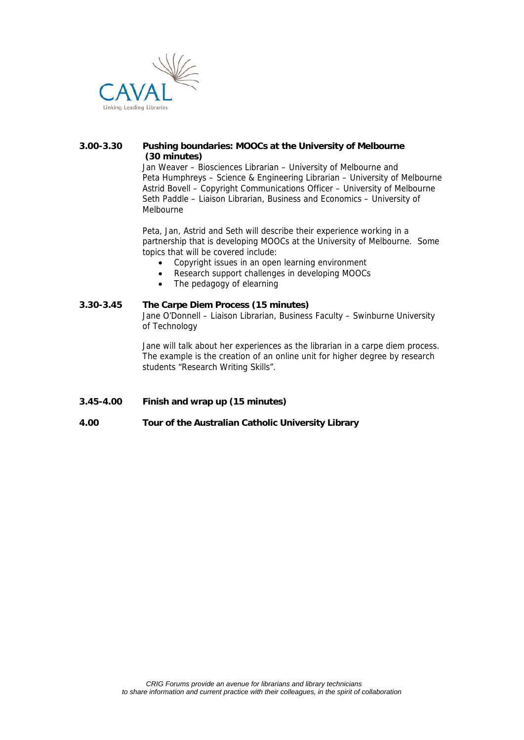

## **3.00-3.30 Pushing boundaries: MOOCs at the University of Melbourne (30 minutes)**

Jan Weaver – Biosciences Librarian – University of Melbourne and Peta Humphreys – Science & Engineering Librarian – University of Melbourne Astrid Bovell – Copyright Communications Officer – University of Melbourne Seth Paddle – Liaison Librarian, Business and Economics – University of Melbourne

Peta, Jan, Astrid and Seth will describe their experience working in a partnership that is developing MOOCs at the University of Melbourne. Some topics that will be covered include:

- Copyright issues in an open learning environment
- Research support challenges in developing MOOCs
- The pedagogy of elearning

#### **3.30-3.45 The Carpe Diem Process (15 minutes)**

Jane O'Donnell – Liaison Librarian, Business Faculty – Swinburne University of Technology

Jane will talk about her experiences as the librarian in a carpe diem process. The example is the creation of an online unit for higher degree by research students "Research Writing Skills".

**3.45-4.00 Finish and wrap up (15 minutes)** 

## **4.00 Tour of the Australian Catholic University Library**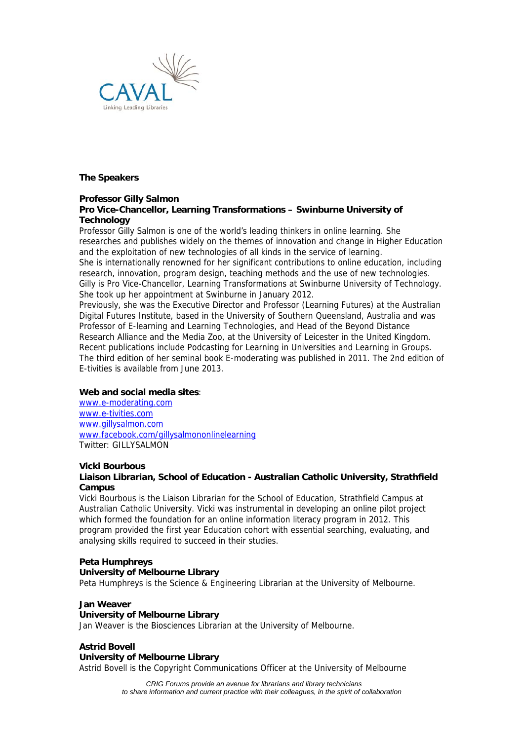

**The Speakers** 

## **Professor Gilly Salmon**

## **Pro Vice-Chancellor, Learning Transformations – Swinburne University of Technology**

Professor Gilly Salmon is one of the world's leading thinkers in online learning. She researches and publishes widely on the themes of innovation and change in Higher Education and the exploitation of new technologies of all kinds in the service of learning. She is internationally renowned for her significant contributions to online education, including research, innovation, program design, teaching methods and the use of new technologies. Gilly is Pro Vice-Chancellor, Learning Transformations at Swinburne University of Technology. She took up her appointment at Swinburne in January 2012.

Previously, she was the Executive Director and Professor (Learning Futures) at the Australian Digital Futures Institute, based in the University of Southern Queensland, Australia and was Professor of E-learning and Learning Technologies, and Head of the Beyond Distance Research Alliance and the Media Zoo, at the University of Leicester in the United Kingdom. Recent publications include Podcasting for Learning in Universities and Learning in Groups. The third edition of her seminal book E-moderating was published in 2011. The 2nd edition of E-tivities is available from June 2013.

## **Web and social media sites**:

www.e-moderating.com www.e-tivities.com www.gillysalmon.com www.facebook.com/gillysalmononlinelearning Twitter: GILLYSALMON

## **Vicki Bourbous**

#### **Liaison Librarian, School of Education - Australian Catholic University, Strathfield Campus**

Vicki Bourbous is the Liaison Librarian for the School of Education, Strathfield Campus at Australian Catholic University. Vicki was instrumental in developing an online pilot project which formed the foundation for an online information literacy program in 2012. This program provided the first year Education cohort with essential searching, evaluating, and analysing skills required to succeed in their studies.

## **Peta Humphreys**

#### **University of Melbourne Library**

Peta Humphreys is the Science & Engineering Librarian at the University of Melbourne.

#### **Jan Weaver**

#### **University of Melbourne Library**

Jan Weaver is the Biosciences Librarian at the University of Melbourne.

## **Astrid Bovell**

#### **University of Melbourne Library**

Astrid Bovell is the Copyright Communications Officer at the University of Melbourne